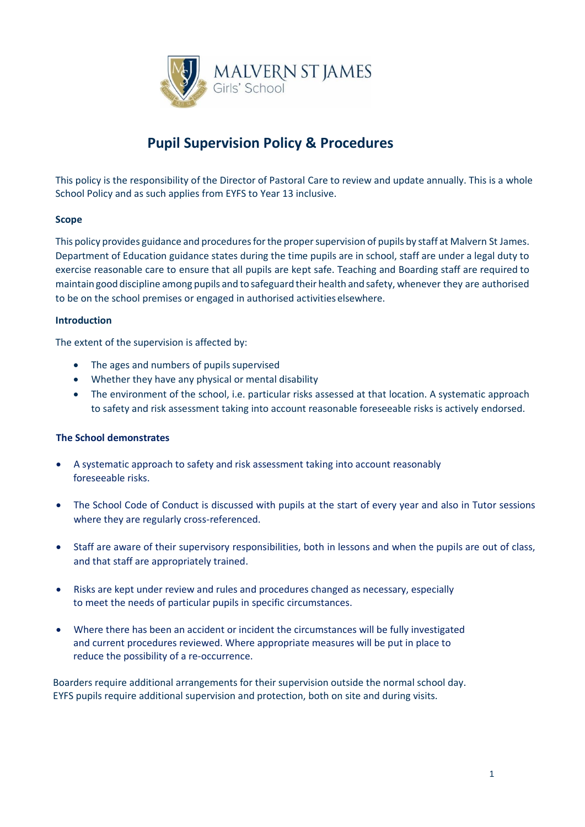

# **Pupil Supervision Policy & Procedures**

This policy is the responsibility of the Director of Pastoral Care to review and update annually. This is a whole School Policy and as such applies from EYFS to Year 13 inclusive.

# **Scope**

This policy provides guidance and procedures for the proper supervision of pupils by staff at Malvern St James. Department of Education guidance states during the time pupils are in school, staff are under a legal duty to exercise reasonable care to ensure that all pupils are kept safe. Teaching and Boarding staff are required to maintain good discipline among pupils and to safeguard their health and safety, whenever they are authorised to be on the school premises or engaged in authorised activities elsewhere.

# **Introduction**

The extent of the supervision is affected by:

- The ages and numbers of pupils supervised
- Whether they have any physical or mental disability
- The environment of the school, i.e. particular risks assessed at that location. A systematic approach to safety and risk assessment taking into account reasonable foreseeable risks is actively endorsed.

# **The School demonstrates**

- A systematic approach to safety and risk assessment taking into account reasonably foreseeable risks.
- The School Code of Conduct is discussed with pupils at the start of every year and also in Tutor sessions where they are regularly cross-referenced.
- Staff are aware of their supervisory responsibilities, both in lessons and when the pupils are out of class, and that staff are appropriately trained.
- Risks are kept under review and rules and procedures changed as necessary, especially to meet the needs of particular pupils in specific circumstances.
- Where there has been an accident or incident the circumstances will be fully investigated and current procedures reviewed. Where appropriate measures will be put in place to reduce the possibility of a re-occurrence.

 Boarders require additional arrangements for their supervision outside the normal school day. EYFS pupils require additional supervision and protection, both on site and during visits.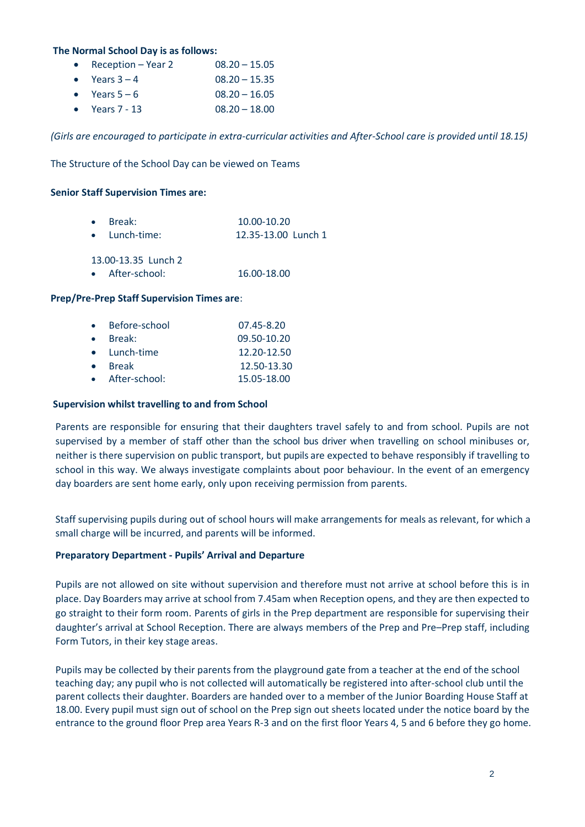#### **The Normal School Day is as follows:**

- Reception Year 2  $08.20 15.05$
- Years  $3 4$  08.20 15.35
- Years  $5 6$  08.20 16.05
- Years 7 13 08.20 18.00

 *(Girls are encouraged to participate in extra-curricular activities and After-School care is provided until 18.15)*

The Structure of the School Day can be viewed on Teams

#### **Senior Staff Supervision Times are:**

| $\bullet$ Break: |               | 10.00-10.20         |  |  |
|------------------|---------------|---------------------|--|--|
|                  | • Lunch-time: | 12.35-13.00 Lunch 1 |  |  |
|                  |               |                     |  |  |

13.00-13.35 Lunch 2

• After-school: 16.00-18.00

#### **Prep/Pre-Prep Staff Supervision Times are**:

|           | • Before-school | 07.45-8.20  |
|-----------|-----------------|-------------|
| $\bullet$ | Break:          | 09.50-10.20 |
|           | • Lunch-time    | 12.20-12.50 |
| $\bullet$ | <b>Break</b>    | 12.50-13.30 |
|           | • After-school: | 15.05-18.00 |

#### **Supervision whilst travelling to and from School**

Parents are responsible for ensuring that their daughters travel safely to and from school. Pupils are not supervised by a member of staff other than the school bus driver when travelling on school minibuses or, neither is there supervision on public transport, but pupils are expected to behave responsibly if travelling to school in this way. We always investigate complaints about poor behaviour. In the event of an emergency day boarders are sent home early, only upon receiving permission from parents.

Staff supervising pupils during out of school hours will make arrangements for meals as relevant, for which a small charge will be incurred, and parents will be informed.

#### **Preparatory Department - Pupils' Arrival and Departure**

Pupils are not allowed on site without supervision and therefore must not arrive at school before this is in place. Day Boarders may arrive at school from 7.45am when Reception opens, and they are then expected to go straight to their form room. Parents of girls in the Prep department are responsible for supervising their daughter's arrival at School Reception. There are always members of the Prep and Pre–Prep staff, including Form Tutors, in their key stage areas.

Pupils may be collected by their parents from the playground gate from a teacher at the end of the school teaching day; any pupil who is not collected will automatically be registered into after-school club until the parent collects their daughter. Boarders are handed over to a member of the Junior Boarding House Staff at 18.00. Every pupil must sign out of school on the Prep sign out sheets located under the notice board by the entrance to the ground floor Prep area Years R-3 and on the first floor Years 4, 5 and 6 before they go home.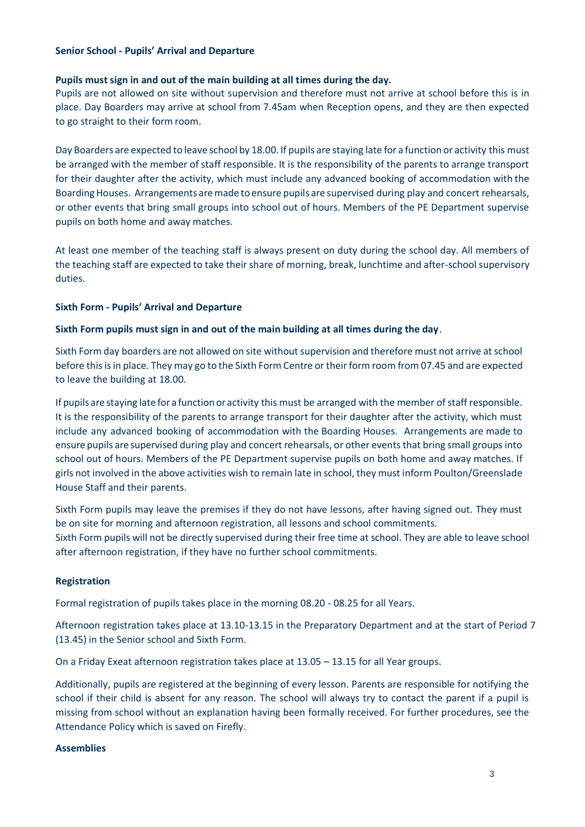## **Senior School - Pupils' Arrival and Departure**

## **Pupils must sign in and out of the main building at all times during the day.**

Pupils are not allowed on site without supervision and therefore must not arrive at school before this is in place. Day Boarders may arrive at school from 7.45am when Reception opens, and they are then expected to go straight to their form room.

Day Boarders are expected to leave school by 18.00. If pupils are staying late for a function or activity this must be arranged with the member of staff responsible. It is the responsibility of the parents to arrange transport for their daughter after the activity, which must include any advanced booking of accommodation with the Boarding Houses. Arrangements are made to ensure pupils are supervised during play and concert rehearsals, or other events that bring small groups into school out of hours. Members of the PE Department supervise pupils on both home and away matches.

At least one member of the teaching staff is always present on duty during the school day. All members of the teaching staff are expected to take their share of morning, break, lunchtime and after-school supervisory duties.

# **Sixth Form - Pupils' Arrival and Departure**

# **Sixth Form pupils must sign in and out of the main building at all times during the day**.

Sixth Form day boarders are not allowed on site without supervision and therefore must not arrive at school before this is in place. They may go to the Sixth Form Centre or their form room from 07.45 and are expected to leave the building at 18.00.

If pupils are staying late for a function or activity this must be arranged with the member of staff responsible. It is the responsibility of the parents to arrange transport for their daughter after the activity, which must include any advanced booking of accommodation with the Boarding Houses. Arrangements are made to ensure pupils are supervised during play and concert rehearsals, or other events that bring small groups into school out of hours. Members of the PE Department supervise pupils on both home and away matches. If girls not involved in the above activities wish to remain late in school, they must inform Poulton/Greenslade House Staff and their parents.

Sixth Form pupils may leave the premises if they do not have lessons, after having signed out. They must be on site for morning and afternoon registration, all lessons and school commitments. Sixth Form pupils will not be directly supervised during their free time at school. They are able to leave school

## **Registration**

Formal registration of pupils takes place in the morning 08.20 - 08.25 for all Years.

after afternoon registration, if they have no further school commitments.

Afternoon registration takes place at 13.10-13.15 in the Preparatory Department and at the start of Period 7 (13.45) in the Senior school and Sixth Form.

On a Friday Exeat afternoon registration takes place at 13.05 – 13.15 for all Year groups.

Additionally, pupils are registered at the beginning of every lesson. Parents are responsible for notifying the school if their child is absent for any reason. The school will always try to contact the parent if a pupil is missing from school without an explanation having been formally received. For further procedures, see the Attendance Policy which is saved on Firefly.

## **Assemblies**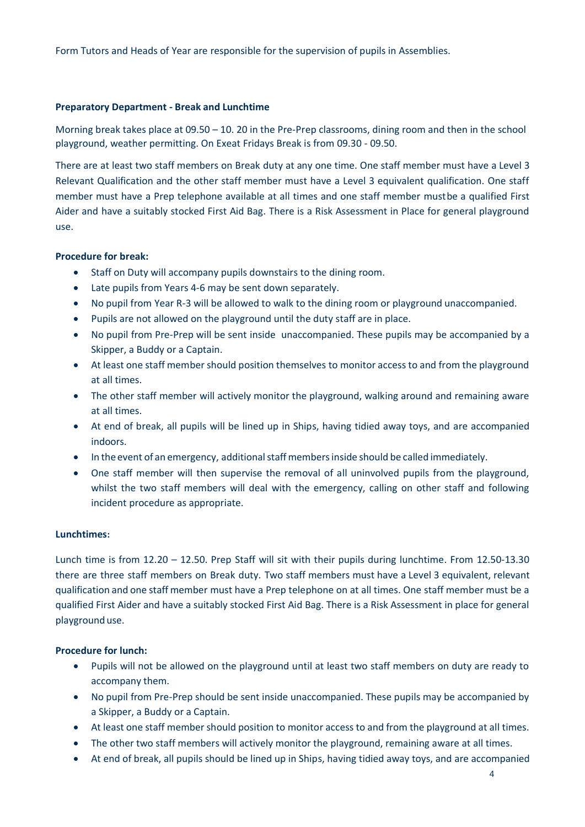Form Tutors and Heads of Year are responsible for the supervision of pupils in Assemblies.

## **Preparatory Department - Break and Lunchtime**

Morning break takes place at 09.50 – 10. 20 in the Pre-Prep classrooms, dining room and then in the school playground, weather permitting. On Exeat Fridays Break is from 09.30 - 09.50.

There are at least two staff members on Break duty at any one time. One staff member must have a Level 3 Relevant Qualification and the other staff member must have a Level 3 equivalent qualification. One staff member must have a Prep telephone available at all times and one staff member mustbe a qualified First Aider and have a suitably stocked First Aid Bag. There is a Risk Assessment in Place for general playground use.

#### **Procedure for break:**

- Staff on Duty will accompany pupils downstairs to the dining room.
- Late pupils from Years 4-6 may be sent down separately.
- No pupil from Year R-3 will be allowed to walk to the dining room or playground unaccompanied.
- Pupils are not allowed on the playground until the duty staff are in place.
- No pupil from Pre-Prep will be sent inside unaccompanied. These pupils may be accompanied by a Skipper, a Buddy or a Captain.
- At least one staff member should position themselves to monitor access to and from the playground at all times.
- The other staff member will actively monitor the playground, walking around and remaining aware at all times.
- At end of break, all pupils will be lined up in Ships, having tidied away toys, and are accompanied indoors.
- In the event of an emergency, additional staff members inside should be called immediately.
- One staff member will then supervise the removal of all uninvolved pupils from the playground, whilst the two staff members will deal with the emergency, calling on other staff and following incident procedure as appropriate.

#### **Lunchtimes:**

Lunch time is from 12.20 – 12.50. Prep Staff will sit with their pupils during lunchtime. From 12.50-13.30 there are three staff members on Break duty. Two staff members must have a Level 3 equivalent, relevant qualification and one staff member must have a Prep telephone on at all times. One staff member must be a qualified First Aider and have a suitably stocked First Aid Bag. There is a Risk Assessment in place for general playground use.

## **Procedure for lunch:**

- Pupils will not be allowed on the playground until at least two staff members on duty are ready to accompany them.
- No pupil from Pre-Prep should be sent inside unaccompanied. These pupils may be accompanied by a Skipper, a Buddy or a Captain.
- At least one staff member should position to monitor access to and from the playground at all times.
- The other two staff members will actively monitor the playground, remaining aware at all times.
- At end of break, all pupils should be lined up in Ships, having tidied away toys, and are accompanied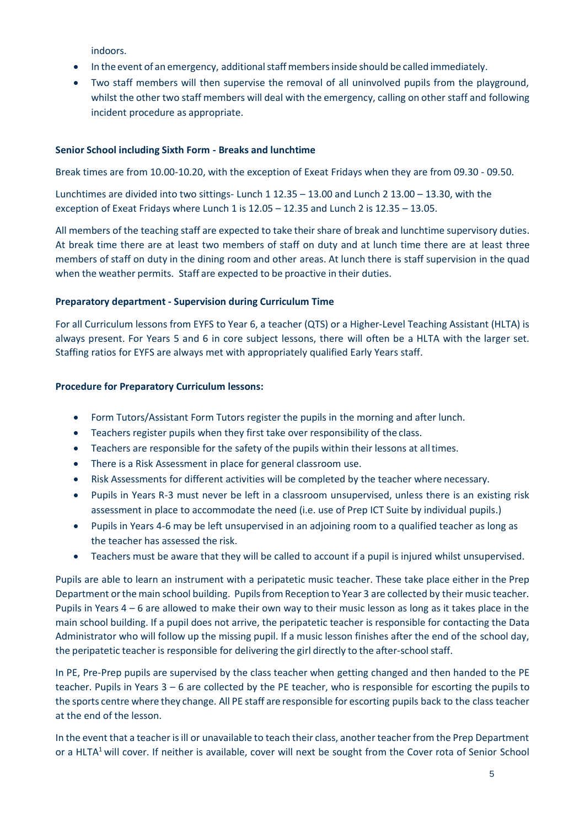indoors.

- In the event of an emergency, additional staff members inside should be called immediately.
- Two staff members will then supervise the removal of all uninvolved pupils from the playground, whilst the other two staff members will deal with the emergency, calling on other staff and following incident procedure as appropriate.

# **Senior School including Sixth Form - Breaks and lunchtime**

Break times are from 10.00-10.20, with the exception of Exeat Fridays when they are from 09.30 - 09.50.

Lunchtimes are divided into two sittings- Lunch 1 12.35 – 13.00 and Lunch 2 13.00 – 13.30, with the exception of Exeat Fridays where Lunch 1 is 12.05 – 12.35 and Lunch 2 is 12.35 – 13.05.

All members of the teaching staff are expected to take their share of break and lunchtime supervisory duties. At break time there are at least two members of staff on duty and at lunch time there are at least three members of staff on duty in the dining room and other areas. At lunch there is staff supervision in the quad when the weather permits. Staff are expected to be proactive in their duties.

# **Preparatory department - Supervision during Curriculum Time**

For all Curriculum lessons from EYFS to Year 6, a teacher (QTS) or a Higher-Level Teaching Assistant (HLTA) is always present. For Years 5 and 6 in core subject lessons, there will often be a HLTA with the larger set. Staffing ratios for EYFS are always met with appropriately qualified Early Years staff.

# **Procedure for Preparatory Curriculum lessons:**

- Form Tutors/Assistant Form Tutors register the pupils in the morning and after lunch.
- Teachers register pupils when they first take over responsibility of the class.
- Teachers are responsible for the safety of the pupils within their lessons at alltimes.
- There is a Risk Assessment in place for general classroom use.
- Risk Assessments for different activities will be completed by the teacher where necessary.
- Pupils in Years R-3 must never be left in a classroom unsupervised, unless there is an existing risk assessment in place to accommodate the need (i.e. use of Prep ICT Suite by individual pupils.)
- Pupils in Years 4-6 may be left unsupervised in an adjoining room to a qualified teacher as long as the teacher has assessed the risk.
- Teachers must be aware that they will be called to account if a pupil is injured whilst unsupervised.

Pupils are able to learn an instrument with a peripatetic music teacher. These take place either in the Prep Department or the main school building. Pupils from Reception to Year 3 are collected by their music teacher. Pupils in Years 4 – 6 are allowed to make their own way to their music lesson as long as it takes place in the main school building. If a pupil does not arrive, the peripatetic teacher is responsible for contacting the Data Administrator who will follow up the missing pupil. If a music lesson finishes after the end of the school day, the peripatetic teacher is responsible for delivering the girl directly to the after-schoolstaff.

In PE, Pre-Prep pupils are supervised by the class teacher when getting changed and then handed to the PE teacher. Pupils in Years 3 – 6 are collected by the PE teacher, who is responsible for escorting the pupils to the sports centre where they change. All PE staff are responsible for escorting pupils back to the class teacher at the end of the lesson.

In the event that a teacher is ill or unavailable to teach their class, another teacher from the Prep Department or a HLTA<sup>1</sup> will cover. If neither is available, cover will next be sought from the Cover rota of Senior School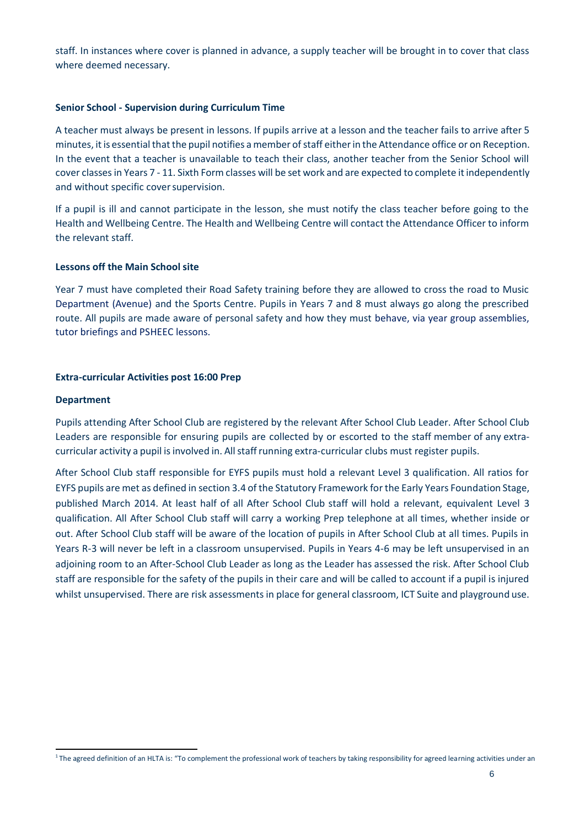staff. In instances where cover is planned in advance, a supply teacher will be brought in to cover that class where deemed necessary.

#### **Senior School - Supervision during Curriculum Time**

A teacher must always be present in lessons. If pupils arrive at a lesson and the teacher fails to arrive after 5 minutes, it is essential that the pupil notifies a member of staff either in the Attendance office or on Reception. In the event that a teacher is unavailable to teach their class, another teacher from the Senior School will cover classes in Years 7 - 11. Sixth Form classes will be set work and are expected to complete it independently and without specific cover supervision.

If a pupil is ill and cannot participate in the lesson, she must notify the class teacher before going to the Health and Wellbeing Centre. The Health and Wellbeing Centre will contact the Attendance Officer to inform the relevant staff.

#### **Lessons off the Main School site**

Year 7 must have completed their Road Safety training before they are allowed to cross the road to Music Department (Avenue) and the Sports Centre. Pupils in Years 7 and 8 must always go along the prescribed route. All pupils are made aware of personal safety and how they must behave, via year group assemblies, tutor briefings and PSHEEC lessons.

#### **Extra-curricular Activities post 16:00 Prep**

#### **Department**

Pupils attending After School Club are registered by the relevant After School Club Leader. After School Club Leaders are responsible for ensuring pupils are collected by or escorted to the staff member of any extracurricular activity a pupil is involved in. All staff running extra-curricular clubs must register pupils.

After School Club staff responsible for EYFS pupils must hold a relevant Level 3 qualification. All ratios for EYFS pupils are met as defined in section 3.4 of the Statutory Framework for the Early Years Foundation Stage, published March 2014. At least half of all After School Club staff will hold a relevant, equivalent Level 3 qualification. All After School Club staff will carry a working Prep telephone at all times, whether inside or out. After School Club staff will be aware of the location of pupils in After School Club at all times. Pupils in Years R-3 will never be left in a classroom unsupervised. Pupils in Years 4-6 may be left unsupervised in an adjoining room to an After-School Club Leader as long as the Leader has assessed the risk. After School Club staff are responsible for the safety of the pupils in their care and will be called to account if a pupil is injured whilst unsupervised. There are risk assessments in place for general classroom, ICT Suite and playground use.

 $1$ The agreed definition of an HLTA is: "To complement the professional work of teachers by taking responsibility for agreed learning activities under an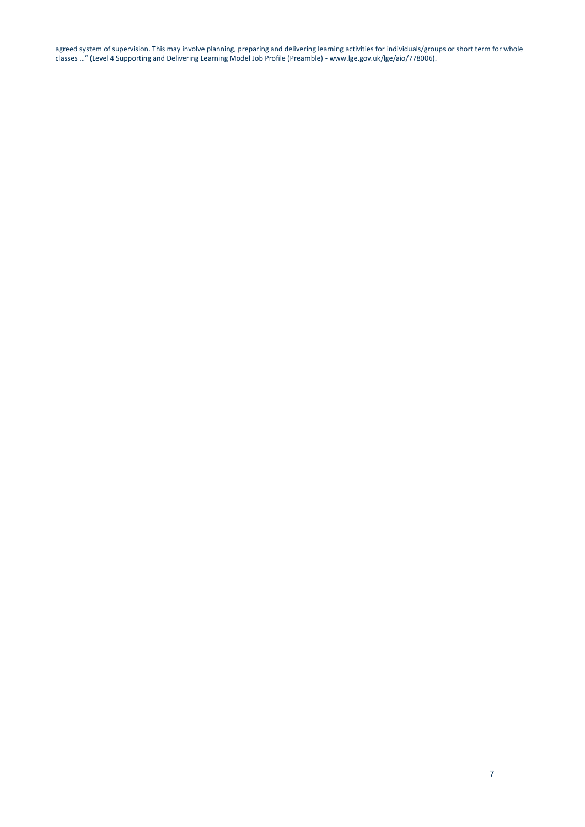agreed system of supervision. This may involve planning, preparing and delivering learning activities for individuals/groups or short term for whole classes …" (Level 4 Supporting and Delivering Learning Model Job Profile (Preamble) - [www.lge.gov.uk/lge/aio/778006\).](http://www.lge.gov.uk/lge/aio/778006))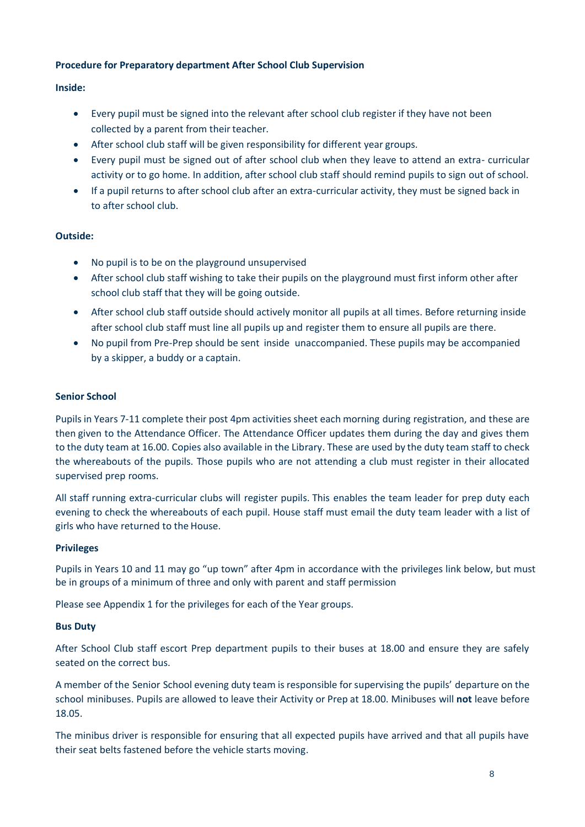# **Procedure for Preparatory department After School Club Supervision**

# **Inside:**

- Every pupil must be signed into the relevant after school club register if they have not been collected by a parent from their teacher.
- After school club staff will be given responsibility for different year groups.
- Every pupil must be signed out of after school club when they leave to attend an extra- curricular activity or to go home. In addition, after school club staff should remind pupils to sign out of school.
- If a pupil returns to after school club after an extra-curricular activity, they must be signed back in to after school club.

# **Outside:**

- No pupil is to be on the playground unsupervised
- After school club staff wishing to take their pupils on the playground must first inform other after school club staff that they will be going outside.
- After school club staff outside should actively monitor all pupils at all times. Before returning inside after school club staff must line all pupils up and register them to ensure all pupils are there.
- No pupil from Pre-Prep should be sent inside unaccompanied. These pupils may be accompanied by a skipper, a buddy or a captain.

## **Senior School**

Pupils in Years 7-11 complete their post 4pm activities sheet each morning during registration, and these are then given to the Attendance Officer. The Attendance Officer updates them during the day and gives them to the duty team at 16.00. Copies also available in the Library. These are used by the duty team staff to check the whereabouts of the pupils. Those pupils who are not attending a club must register in their allocated supervised prep rooms.

All staff running extra-curricular clubs will register pupils. This enables the team leader for prep duty each evening to check the whereabouts of each pupil. House staff must email the duty team leader with a list of girls who have returned to the House.

## **Privileges**

Pupils in Years 10 and 11 may go "up town" after 4pm in accordance with the privileges link below, but must be in groups of a minimum of three and only with parent and staff permission

Please see Appendix 1 for the privileges for each of the Year groups.

## **Bus Duty**

After School Club staff escort Prep department pupils to their buses at 18.00 and ensure they are safely seated on the correct bus.

A member of the Senior School evening duty team is responsible for supervising the pupils' departure on the school minibuses. Pupils are allowed to leave their Activity or Prep at 18.00. Minibuses will **not** leave before 18.05.

The minibus driver is responsible for ensuring that all expected pupils have arrived and that all pupils have their seat belts fastened before the vehicle starts moving.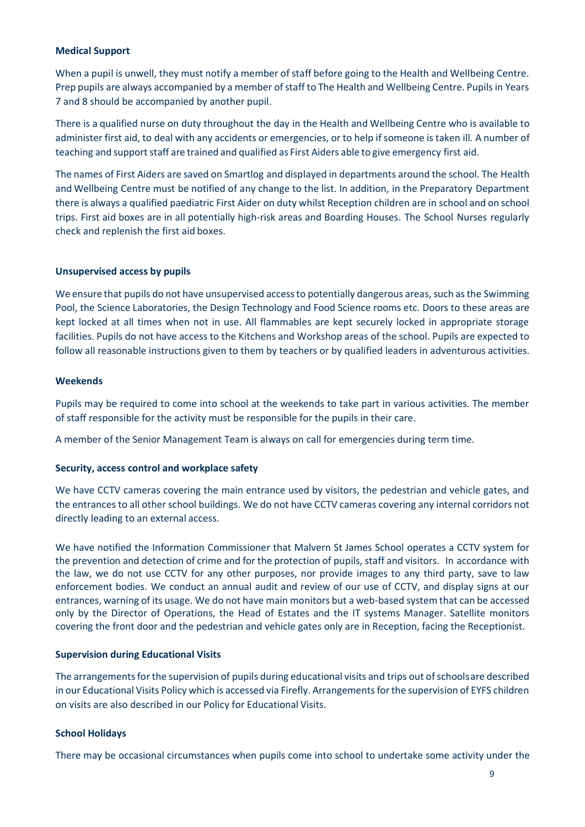## **Medical Support**

When a pupil is unwell, they must notify a member of staff before going to the Health and Wellbeing Centre. Prep pupils are always accompanied by a member of staff to The Health and Wellbeing Centre. Pupils in Years 7 and 8 should be accompanied by another pupil.

There is a qualified nurse on duty throughout the day in the Health and Wellbeing Centre who is available to administer first aid, to deal with any accidents or emergencies, or to help if someone is taken ill. A number of teaching and support staff are trained and qualified as First Aiders able to give emergency first aid.

The names of First Aiders are saved on Smartlog and displayed in departments around the school. The Health and Wellbeing Centre must be notified of any change to the list. In addition, in the Preparatory Department there is always a qualified paediatric First Aider on duty whilst Reception children are in school and on school trips. First aid boxes are in all potentially high-risk areas and Boarding Houses. The School Nurses regularly check and replenish the first aid boxes.

#### **Unsupervised access by pupils**

We ensure that pupils do not have unsupervised access to potentially dangerous areas, such as the Swimming Pool, the Science Laboratories, the Design Technology and Food Science rooms etc. Doors to these areas are kept locked at all times when not in use. All flammables are kept securely locked in appropriate storage facilities. Pupils do not have access to the Kitchens and Workshop areas of the school. Pupils are expected to follow all reasonable instructions given to them by teachers or by qualified leaders in adventurous activities.

#### **Weekends**

Pupils may be required to come into school at the weekends to take part in various activities. The member of staff responsible for the activity must be responsible for the pupils in their care.

A member of the Senior Management Team is always on call for emergencies during term time.

#### **Security, access control and workplace safety**

We have CCTV cameras covering the main entrance used by visitors, the pedestrian and vehicle gates, and the entrances to all other school buildings. We do not have CCTV cameras covering any internal corridors not directly leading to an external access.

We have notified the Information Commissioner that Malvern St James School operates a CCTV system for the prevention and detection of crime and for the protection of pupils, staff and visitors. In accordance with the law, we do not use CCTV for any other purposes, nor provide images to any third party, save to law enforcement bodies. We conduct an annual audit and review of our use of CCTV, and display signs at our entrances, warning of its usage. We do not have main monitors but a web-based system that can be accessed only by the Director of Operations, the Head of Estates and the IT systems Manager. Satellite monitors covering the front door and the pedestrian and vehicle gates only are in Reception, facing the Receptionist.

## **Supervision during Educational Visits**

The arrangements for the supervision of pupils during educational visits and trips out of schoolsare described in our Educational Visits Policy which is accessed via Firefly. Arrangements for the supervision of EYFS children on visits are also described in our Policy for Educational Visits.

## **School Holidays**

There may be occasional circumstances when pupils come into school to undertake some activity under the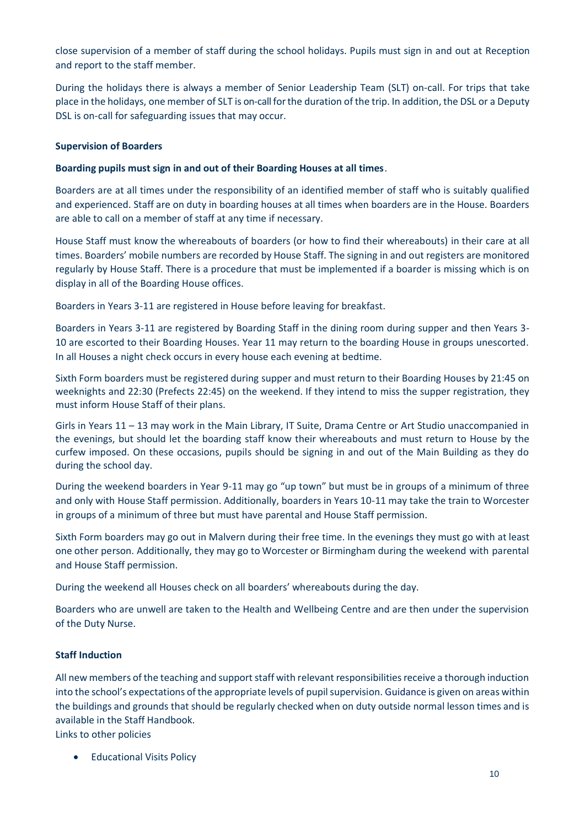close supervision of a member of staff during the school holidays. Pupils must sign in and out at Reception and report to the staff member.

During the holidays there is always a member of Senior Leadership Team (SLT) on-call. For trips that take place in the holidays, one member of SLT is on-call forthe duration of the trip. In addition, the DSL or a Deputy DSL is on-call for safeguarding issues that may occur.

# **Supervision of Boarders**

# **Boarding pupils must sign in and out of their Boarding Houses at all times**.

Boarders are at all times under the responsibility of an identified member of staff who is suitably qualified and experienced. Staff are on duty in boarding houses at all times when boarders are in the House. Boarders are able to call on a member of staff at any time if necessary.

House Staff must know the whereabouts of boarders (or how to find their whereabouts) in their care at all times. Boarders' mobile numbers are recorded by House Staff. The signing in and out registers are monitored regularly by House Staff. There is a procedure that must be implemented if a boarder is missing which is on display in all of the Boarding House offices.

Boarders in Years 3-11 are registered in House before leaving for breakfast.

Boarders in Years 3-11 are registered by Boarding Staff in the dining room during supper and then Years 3- 10 are escorted to their Boarding Houses. Year 11 may return to the boarding House in groups unescorted. In all Houses a night check occurs in every house each evening at bedtime.

Sixth Form boarders must be registered during supper and must return to their Boarding Houses by 21:45 on weeknights and 22:30 (Prefects 22:45) on the weekend. If they intend to miss the supper registration, they must inform House Staff of their plans.

Girls in Years 11 – 13 may work in the Main Library, IT Suite, Drama Centre or Art Studio unaccompanied in the evenings, but should let the boarding staff know their whereabouts and must return to House by the curfew imposed. On these occasions, pupils should be signing in and out of the Main Building as they do during the school day.

During the weekend boarders in Year 9-11 may go "up town" but must be in groups of a minimum of three and only with House Staff permission. Additionally, boarders in Years 10-11 may take the train to Worcester in groups of a minimum of three but must have parental and House Staff permission.

Sixth Form boarders may go out in Malvern during their free time. In the evenings they must go with at least one other person. Additionally, they may go to Worcester or Birmingham during the weekend with parental and House Staff permission.

During the weekend all Houses check on all boarders' whereabouts during the day.

Boarders who are unwell are taken to the Health and Wellbeing Centre and are then under the supervision of the Duty Nurse.

# **Staff Induction**

All new members of the teaching and support staff with relevant responsibilities receive a thorough induction into the school's expectations of the appropriate levels of pupil supervision. Guidance is given on areas within the buildings and grounds that should be regularly checked when on duty outside normal lesson times and is available in the Staff Handbook.

Links to other policies

• Educational Visits Policy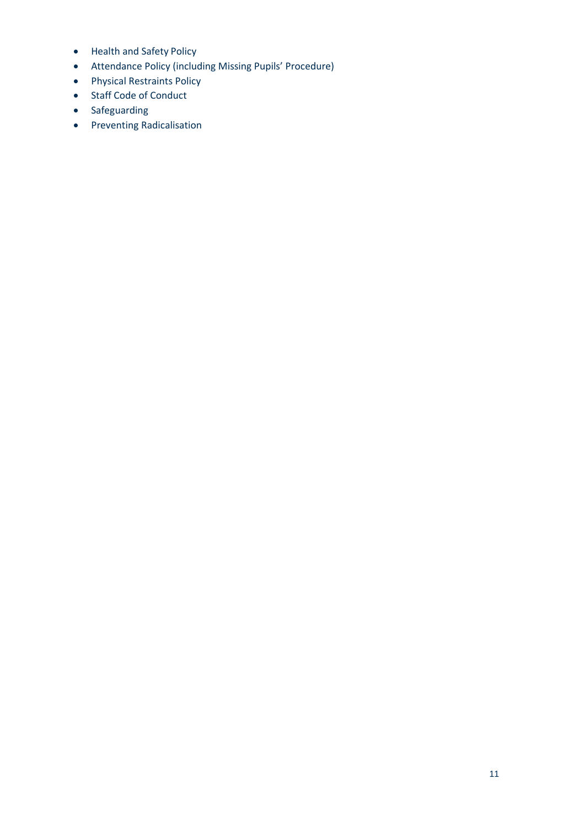- Health and Safety Policy
- Attendance Policy (including Missing Pupils' Procedure)
- Physical Restraints Policy
- Staff Code of Conduct
- Safeguarding
- Preventing Radicalisation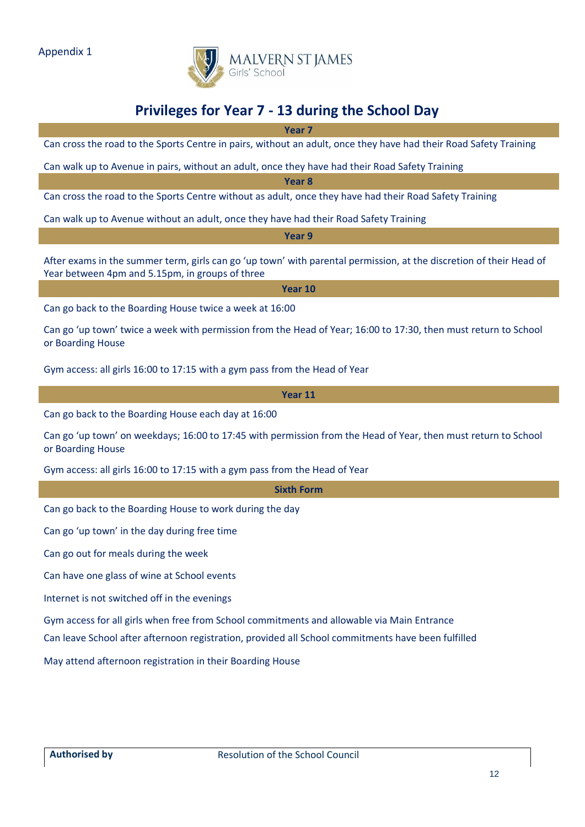

# **Privileges for Year 7 - 13 during the School Day**

**Year 7**

Can cross the road to the Sports Centre in pairs, without an adult, once they have had their Road Safety Training

Can walk up to Avenue in pairs, without an adult, once they have had their Road Safety Training

**Year 8**

Can cross the road to the Sports Centre without as adult, once they have had their Road Safety Training

Can walk up to Avenue without an adult, once they have had their Road Safety Training

**Year 9**

After exams in the summer term, girls can go 'up town' with parental permission, at the discretion of their Head of Year between 4pm and 5.15pm, in groups of three

**Year 10**

Can go back to the Boarding House twice a week at 16:00

Can go 'up town' twice a week with permission from the Head of Year; 16:00 to 17:30, then must return to School or Boarding House

Gym access: all girls 16:00 to 17:15 with a gym pass from the Head of Year

**Year 11**

Can go back to the Boarding House each day at 16:00

Can go 'up town' on weekdays; 16:00 to 17:45 with permission from the Head of Year, then must return to School or Boarding House

Gym access: all girls 16:00 to 17:15 with a gym pass from the Head of Year

**Sixth Form**

Can go back to the Boarding House to work during the day

Can go 'up town' in the day during free time

Can go out for meals during the week

Can have one glass of wine at School events

Internet is not switched off in the evenings

Gym access for all girls when free from School commitments and allowable via Main Entrance

Can leave School after afternoon registration, provided all School commitments have been fulfilled

May attend afternoon registration in their Boarding House